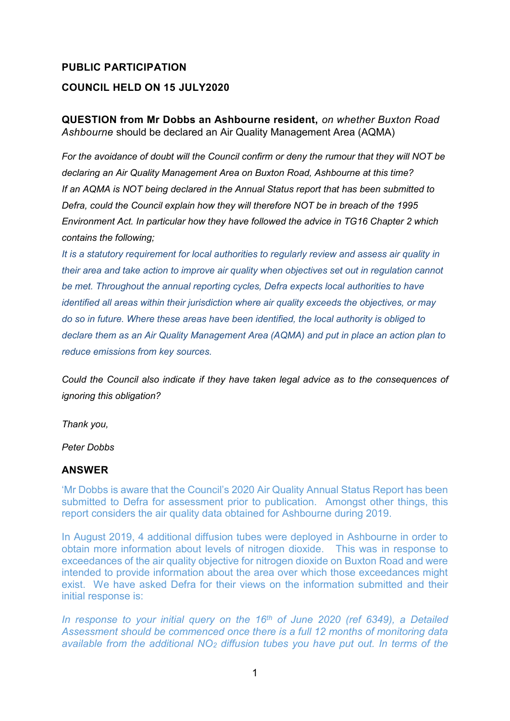## **PUBLIC PARTICIPATION COUNCIL HELD ON 15 JULY2020**

## **QUESTION from Mr Dobbs an Ashbourne resident,** *on whether Buxton Road Ashbourne* should be declared an Air Quality Management Area (AQMA)

*For the avoidance of doubt will the Council confirm or deny the rumour that they will NOT be declaring an Air Quality Management Area on Buxton Road, Ashbourne at this time? If an AQMA is NOT being declared in the Annual Status report that has been submitted to Defra, could the Council explain how they will therefore NOT be in breach of the 1995 Environment Act. In particular how they have followed the advice in TG16 Chapter 2 which contains the following;*

*It is a statutory requirement for local authorities to regularly review and assess air quality in their area and take action to improve air quality when objectives set out in regulation cannot be met. Throughout the annual reporting cycles, Defra expects local authorities to have identified all areas within their jurisdiction where air quality exceeds the objectives, or may do so in future. Where these areas have been identified, the local authority is obliged to declare them as an Air Quality Management Area (AQMA) and put in place an action plan to reduce emissions from key sources.*

*Could the Council also indicate if they have taken legal advice as to the consequences of ignoring this obligation?*

*Thank you,*

*Peter Dobbs*

## **ANSWER**

'Mr Dobbs is aware that the Council's 2020 Air Quality Annual Status Report has been submitted to Defra for assessment prior to publication. Amongst other things, this report considers the air quality data obtained for Ashbourne during 2019.

In August 2019, 4 additional diffusion tubes were deployed in Ashbourne in order to obtain more information about levels of nitrogen dioxide. This was in response to exceedances of the air quality objective for nitrogen dioxide on Buxton Road and were intended to provide information about the area over which those exceedances might exist. We have asked Defra for their views on the information submitted and their initial response is:

*In response to your initial query on the 16th of June 2020 (ref 6349), a Detailed Assessment should be commenced once there is a full 12 months of monitoring data available from the additional NO<sup>2</sup> diffusion tubes you have put out. In terms of the*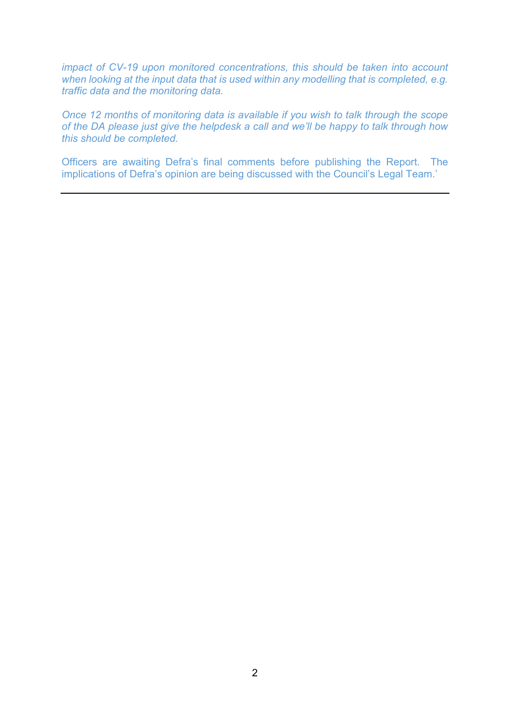*impact of CV-19 upon monitored concentrations, this should be taken into account when looking at the input data that is used within any modelling that is completed, e.g. traffic data and the monitoring data.*

*Once 12 months of monitoring data is available if you wish to talk through the scope of the DA please just give the helpdesk a call and we'll be happy to talk through how this should be completed.* 

Officers are awaiting Defra's final comments before publishing the Report. The implications of Defra's opinion are being discussed with the Council's Legal Team.'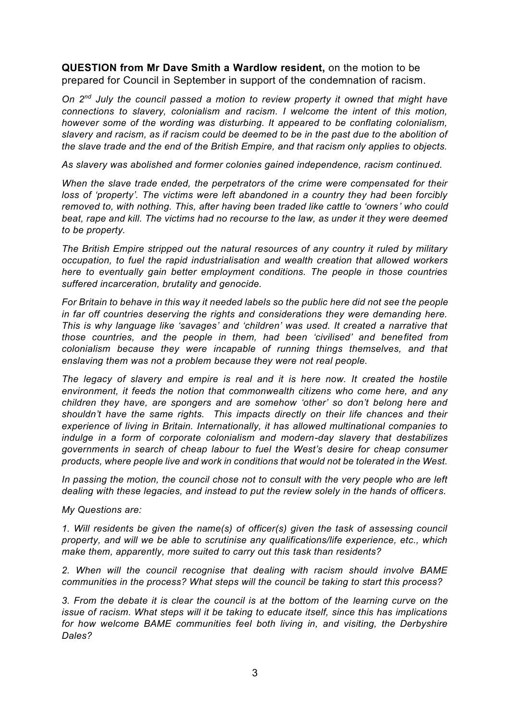**QUESTION from Mr Dave Smith a Wardlow resident,** on the motion to be prepared for Council in September in support of the condemnation of racism.

*On 2nd July the council passed a motion to review property it owned that might have connections to slavery, colonialism and racism. I welcome the intent of this motion, however some of the wording was disturbing. It appeared to be conflating colonialism, slavery and racism, as if racism could be deemed to be in the past due to the abolition of the slave trade and the end of the British Empire, and that racism only applies to objects.*

*As slavery was abolished and former colonies gained independence, racism continued.*

*When the slave trade ended, the perpetrators of the crime were compensated for their loss of 'property'. The victims were left abandoned in a country they had been forcibly removed to, with nothing. This, after having been traded like cattle to 'owners' who could beat, rape and kill. The victims had no recourse to the law, as under it they were deemed to be property.*

*The British Empire stripped out the natural resources of any country it ruled by military occupation, to fuel the rapid industrialisation and wealth creation that allowed workers here to eventually gain better employment conditions. The people in those countries suffered incarceration, brutality and genocide.*

*For Britain to behave in this way it needed labels so the public here did not see the people in far off countries deserving the rights and considerations they were demanding here. This is why language like 'savages' and 'children' was used. It created a narrative that those countries, and the people in them, had been 'civilised' and benefited from colonialism because they were incapable of running things themselves, and that enslaving them was not a problem because they were not real people.*

*The legacy of slavery and empire is real and it is here now. It created the hostile environment, it feeds the notion that commonwealth citizens who come here, and any children they have, are spongers and are somehow 'other' so don't belong here and shouldn't have the same rights. This impacts directly on their life chances and their experience of living in Britain. Internationally, it has allowed multinational companies to indulge in a form of corporate colonialism and modern-day slavery that destabilizes governments in search of cheap labour to fuel the West's desire for cheap consumer products, where people live and work in conditions that would not be tolerated in the West.*

*In passing the motion, the council chose not to consult with the very people who are left dealing with these legacies, and instead to put the review solely in the hands of officer s.* 

*My Questions are:*

*1. Will residents be given the name(s) of officer(s) given the task of assessing council property, and will we be able to scrutinise any qualifications/life experience, etc., which make them, apparently, more suited to carry out this task than residents?*

*2. When will the council recognise that dealing with racism should involve BAME communities in the process? What steps will the council be taking to start this process?*

*3. From the debate it is clear the council is at the bottom of the learning curve on the issue of racism. What steps will it be taking to educate itself, since this has implications for how welcome BAME communities feel both living in, and visiting, the Derbyshire Dales?*